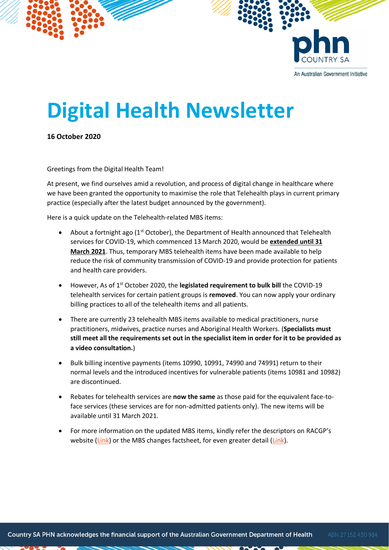

## **Digital Health Newsletter**

**16 October 2020**

Greetings from the Digital Health Team!

At present, we find ourselves amid a revolution, and process of digital change in healthcare where we have been granted the opportunity to maximise the role that Telehealth plays in current primary practice (especially after the latest budget announced by the government).

Here is a quick update on the Telehealth-related MBS items:

- About a fortnight ago ( $1<sup>st</sup>$  October), the Department of Health announced that Telehealth services for COVID-19, which commenced 13 March 2020, would be **extended until 31 March 2021**. Thus, temporary MBS telehealth items have been made available to help reduce the risk of community transmission of COVID-19 and provide protection for patients and health care providers.
- However, As of 1<sup>st</sup> October 2020, the **legislated requirement to bulk bill** the COVID-19 telehealth services for certain patient groups is **removed**. You can now apply your ordinary billing practices to all of the telehealth items and all patients.
- There are currently 23 telehealth MBS items available to medical practitioners, nurse practitioners, midwives, practice nurses and Aboriginal Health Workers. (**Specialists must still meet all the requirements set out in the specialist item in order for it to be provided as a video consultation.**)
- Bulk billing incentive payments (items 10990, 10991, 74990 and 74991) return to their normal levels and the introduced incentives for vulnerable patients (items 10981 and 10982) are discontinued.
- Rebates for telehealth services are **now the same** as those paid for the equivalent face-toface services (these services are for non-admitted patients only). The new items will be available until 31 March 2021.
- For more information on the updated MBS items, kindly refer the descriptors on RACGP's website [\(Link\)](http://www.mbsonline.gov.au/internet/mbsonline/publishing.nsf/Content/0C514FB8C9FBBEC7CA25852E00223AFE/$File/Factsheet-COVID-19-Bulk-billed-MBS%20telehealth-Services-Overarching-17.09.2020.pdf) or the MBS changes factsheet, for even greater detail (Link).